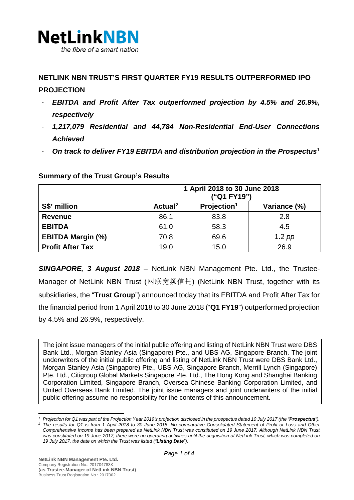

## **NETLINK NBN TRUST'S FIRST QUARTER FY19 RESULTS OUTPERFORMED IPO PROJECTION**

- *EBITDA and Profit After Tax outperformed projection by 4.5% and 26.9%, respectively*
- *1,217,079 Residential and 44,784 Non-Residential End-User Connections Achieved*
- *On track to deliver FY19 EBITDA and distribution projection in the Prospectus*[1](#page-0-0)

|                          | 1 April 2018 to 30 June 2018<br>("Q1 FY19") |                         |              |
|--------------------------|---------------------------------------------|-------------------------|--------------|
| S\$' million             | Actual <sup>2</sup>                         | Projection <sup>1</sup> | Variance (%) |
| <b>Revenue</b>           | 86.1                                        | 83.8                    | 2.8          |
| <b>EBITDA</b>            | 61.0                                        | 58.3                    | 4.5          |
| <b>EBITDA Margin (%)</b> | 70.8                                        | 69.6                    | $1.2$ pp     |
| <b>Profit After Tax</b>  | 19.0                                        | 15.0                    | 26.9         |

#### **Summary of the Trust Group's Results**

*SINGAPORE, 3 August 2018 –* NetLink NBN Management Pte. Ltd., the Trustee-Manager of NetLink NBN Trust (网联宽频信托) (NetLink NBN Trust, together with its subsidiaries, the "**Trust Group**") announced today that its EBITDA and Profit After Tax for the financial period from 1 April 2018 to 30 June 2018 ("**Q1 FY19**") outperformed projection by 4.5% and 26.9%, respectively.

The joint issue managers of the initial public offering and listing of NetLink NBN Trust were DBS Bank Ltd., Morgan Stanley Asia (Singapore) Pte., and UBS AG, Singapore Branch. The joint underwriters of the initial public offering and listing of NetLink NBN Trust were DBS Bank Ltd., Morgan Stanley Asia (Singapore) Pte., UBS AG, Singapore Branch, Merrill Lynch (Singapore) Pte. Ltd., Citigroup Global Markets Singapore Pte. Ltd., The Hong Kong and Shanghai Banking Corporation Limited, Singapore Branch, Oversea-Chinese Banking Corporation Limited, and United Overseas Bank Limited. The joint issue managers and joint underwriters of the initial public offering assume no responsibility for the contents of this announcement.

<span id="page-0-1"></span><span id="page-0-0"></span><sup>&</sup>lt;sup>1</sup> Projection for Q1 was part of the Projection Year 2019's projection disclosed in the prospectus dated 10 July 2017 (the "Prospectus"). *<sup>2</sup> The results for Q1 is from 1 April 2018 to 30 June 2018. No comparative Consolidated Statement of Profit or Loss and Other Comprehensive Income has been prepared as NetLink NBN Trust was constituted on 19 June 2017. Although NetLink NBN Trust was constituted on 19 June 2017, there were no operating activities until the acquisition of NetLink Trust, which was completed on 19 July 2017, the date on which the Trust was listed ("Listing Date").*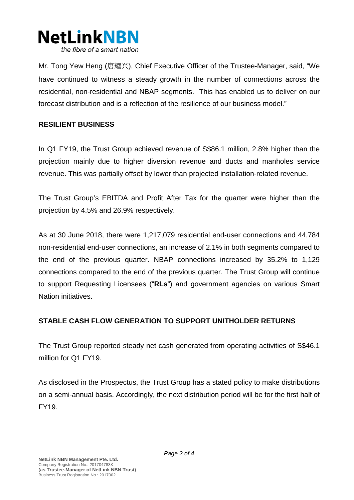

Mr. Tong Yew Heng (唐耀兴), Chief Executive Officer of the Trustee-Manager, said, "We have continued to witness a steady growth in the number of connections across the residential, non-residential and NBAP segments. This has enabled us to deliver on our forecast distribution and is a reflection of the resilience of our business model."

#### **RESILIENT BUSINESS**

In Q1 FY19, the Trust Group achieved revenue of S\$86.1 million, 2.8% higher than the projection mainly due to higher diversion revenue and ducts and manholes service revenue. This was partially offset by lower than projected installation-related revenue.

The Trust Group's EBITDA and Profit After Tax for the quarter were higher than the projection by 4.5% and 26.9% respectively.

As at 30 June 2018, there were 1,217,079 residential end-user connections and 44,784 non-residential end-user connections, an increase of 2.1% in both segments compared to the end of the previous quarter. NBAP connections increased by 35.2% to 1,129 connections compared to the end of the previous quarter. The Trust Group will continue to support Requesting Licensees ("**RLs**") and government agencies on various Smart Nation initiatives.

#### **STABLE CASH FLOW GENERATION TO SUPPORT UNITHOLDER RETURNS**

The Trust Group reported steady net cash generated from operating activities of S\$46.1 million for Q1 FY19.

As disclosed in the Prospectus, the Trust Group has a stated policy to make distributions on a semi-annual basis. Accordingly, the next distribution period will be for the first half of FY19.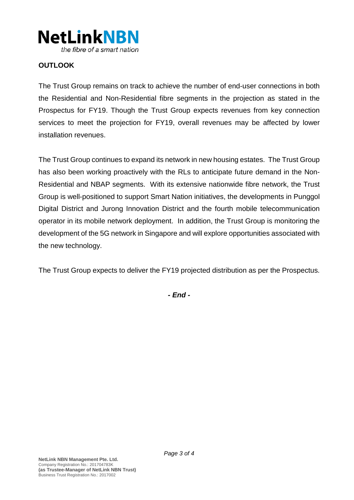

## **OUTLOOK**

The Trust Group remains on track to achieve the number of end-user connections in both the Residential and Non-Residential fibre segments in the projection as stated in the Prospectus for FY19. Though the Trust Group expects revenues from key connection services to meet the projection for FY19, overall revenues may be affected by lower installation revenues.

The Trust Group continues to expand its network in new housing estates. The Trust Group has also been working proactively with the RLs to anticipate future demand in the Non-Residential and NBAP segments. With its extensive nationwide fibre network, the Trust Group is well-positioned to support Smart Nation initiatives, the developments in Punggol Digital District and Jurong Innovation District and the fourth mobile telecommunication operator in its mobile network deployment. In addition, the Trust Group is monitoring the development of the 5G network in Singapore and will explore opportunities associated with the new technology.

The Trust Group expects to deliver the FY19 projected distribution as per the Prospectus.

*- End -*